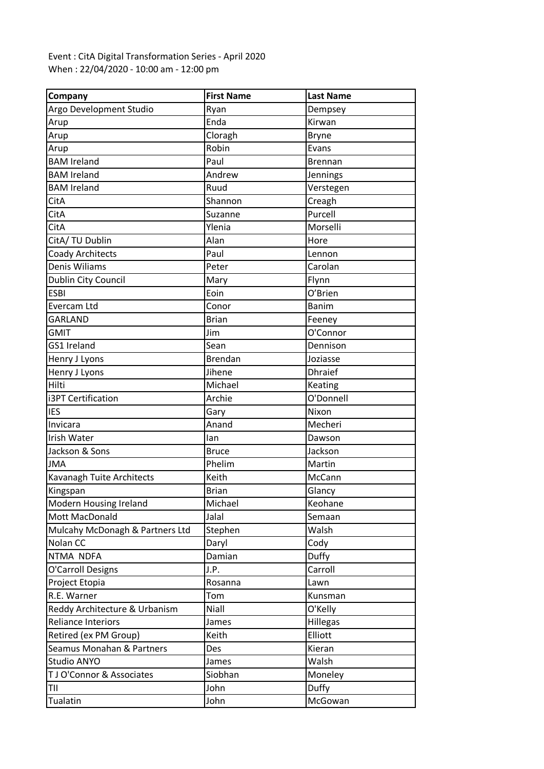## Event : CitA Digital Transformation Series - April 2020 When : 22/04/2020 - 10:00 am - 12:00 pm

| Company                         | <b>First Name</b> | <b>Last Name</b> |
|---------------------------------|-------------------|------------------|
| Argo Development Studio         | Ryan              | Dempsey          |
| Arup                            | Enda              | Kirwan           |
| Arup                            | Cloragh           | <b>Bryne</b>     |
| Arup                            | Robin             | Evans            |
| <b>BAM Ireland</b>              | Paul              | Brennan          |
| <b>BAM Ireland</b>              | Andrew            | Jennings         |
| <b>BAM Ireland</b>              | Ruud              | Verstegen        |
| CitA                            | Shannon           | Creagh           |
| CitA                            | Suzanne           | Purcell          |
| CitA                            | Ylenia            | Morselli         |
| CitA/ TU Dublin                 | Alan              | Hore             |
| Coady Architects                | Paul              | Lennon           |
| Denis Wiliams                   | Peter             | Carolan          |
| Dublin City Council             | Mary              | Flynn            |
| <b>ESBI</b>                     | Eoin              | O'Brien          |
| Evercam Ltd                     | Conor             | <b>Banim</b>     |
| GARLAND                         | <b>Brian</b>      | Feeney           |
| <b>GMIT</b>                     | Jim               | O'Connor         |
| GS1 Ireland                     | Sean              | Dennison         |
| Henry J Lyons                   | <b>Brendan</b>    | Joziasse         |
| Henry J Lyons                   | Jihene            | <b>Dhraief</b>   |
| Hilti                           | Michael           | Keating          |
| i3PT Certification              | Archie            | O'Donnell        |
| <b>IES</b>                      | Gary              | Nixon            |
| Invicara                        | Anand             | Mecheri          |
| <b>Irish Water</b>              | lan               | Dawson           |
| Jackson & Sons                  | <b>Bruce</b>      | Jackson          |
| <b>JMA</b>                      | Phelim            | Martin           |
| Kavanagh Tuite Architects       | Keith             | McCann           |
| Kingspan                        | <b>Brian</b>      | Glancy           |
| Modern Housing Ireland          | Michael           | Keohane          |
| Mott MacDonald                  | Jalal             | Semaan           |
| Mulcahy McDonagh & Partners Ltd | Stephen           | Walsh            |
| Nolan CC                        | Daryl             | Cody             |
| NTMA NDFA                       | Damian            | Duffy            |
| O'Carroll Designs               | J.P.              | Carroll          |
| Project Etopia                  | Rosanna           | Lawn             |
| R.E. Warner                     | Tom               | Kunsman          |
| Reddy Architecture & Urbanism   | Niall             | O'Kelly          |
| <b>Reliance Interiors</b>       | James             | <b>Hillegas</b>  |
| Retired (ex PM Group)           | Keith             | Elliott          |
| Seamus Monahan & Partners       | Des               | Kieran           |
| Studio ANYO                     | James             | Walsh            |
| TJ O'Connor & Associates        | Siobhan           | Moneley          |
| TII                             | John              | Duffy            |
| Tualatin                        | John              | McGowan          |